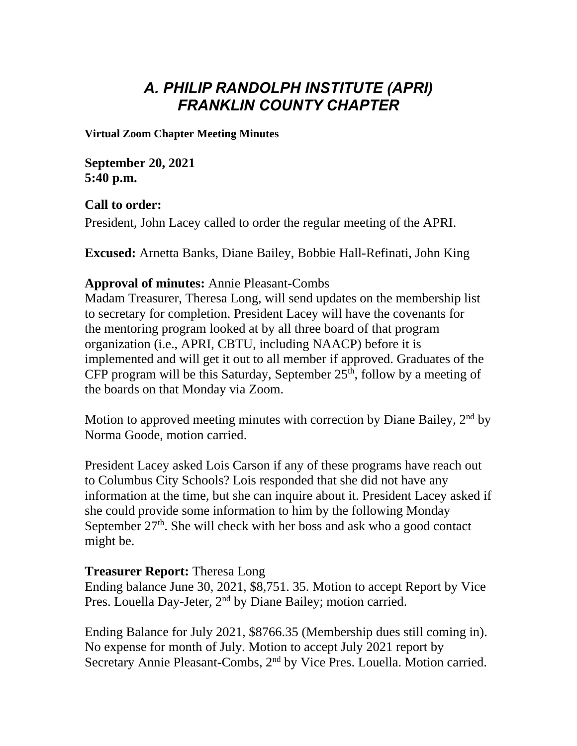# *A. PHILIP RANDOLPH INSTITUTE (APRI) FRANKLIN COUNTY CHAPTER*

**Virtual Zoom Chapter Meeting Minutes**

**September 20, 2021 5:40 p.m.**

### **Call to order:**

President, John Lacey called to order the regular meeting of the APRI.

**Excused:** Arnetta Banks, Diane Bailey, Bobbie Hall-Refinati, John King

#### **Approval of minutes:** Annie Pleasant-Combs

Madam Treasurer, Theresa Long, will send updates on the membership list to secretary for completion. President Lacey will have the covenants for the mentoring program looked at by all three board of that program organization (i.e., APRI, CBTU, including NAACP) before it is implemented and will get it out to all member if approved. Graduates of the CFP program will be this Saturday, September  $25<sup>th</sup>$ , follow by a meeting of the boards on that Monday via Zoom.

Motion to approved meeting minutes with correction by Diane Bailey,  $2<sup>nd</sup>$  by Norma Goode, motion carried.

President Lacey asked Lois Carson if any of these programs have reach out to Columbus City Schools? Lois responded that she did not have any information at the time, but she can inquire about it. President Lacey asked if she could provide some information to him by the following Monday September  $27<sup>th</sup>$ . She will check with her boss and ask who a good contact might be.

### **Treasurer Report:** Theresa Long

Ending balance June 30, 2021, \$8,751. 35. Motion to accept Report by Vice Pres. Louella Day-Jeter, 2<sup>nd</sup> by Diane Bailey; motion carried.

Ending Balance for July 2021, \$8766.35 (Membership dues still coming in). No expense for month of July. Motion to accept July 2021 report by Secretary Annie Pleasant-Combs, 2nd by Vice Pres. Louella. Motion carried.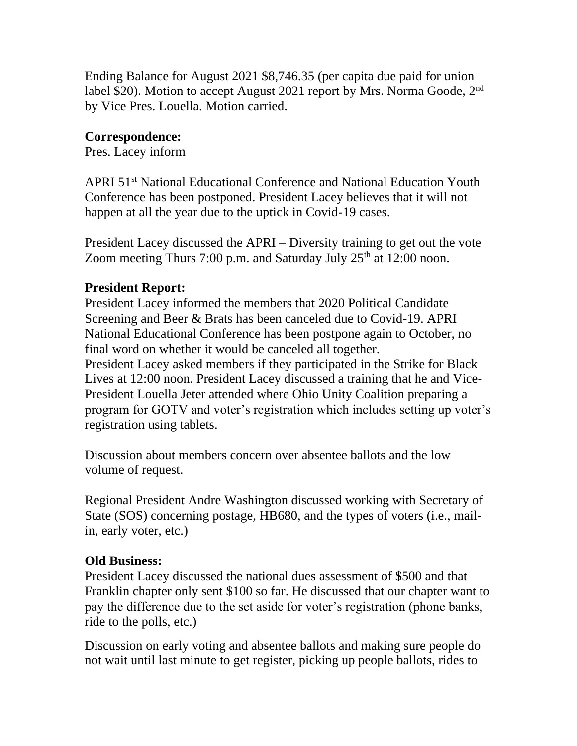Ending Balance for August 2021 \$8,746.35 (per capita due paid for union label \$20). Motion to accept August 2021 report by Mrs. Norma Goode, 2<sup>nd</sup> by Vice Pres. Louella. Motion carried.

# **Correspondence:**

Pres. Lacey inform

APRI 51<sup>st</sup> National Educational Conference and National Education Youth Conference has been postponed. President Lacey believes that it will not happen at all the year due to the uptick in Covid-19 cases.

President Lacey discussed the APRI – Diversity training to get out the vote Zoom meeting Thurs 7:00 p.m. and Saturday July  $25<sup>th</sup>$  at 12:00 noon.

## **President Report:**

President Lacey informed the members that 2020 Political Candidate Screening and Beer & Brats has been canceled due to Covid-19. APRI National Educational Conference has been postpone again to October, no final word on whether it would be canceled all together. President Lacey asked members if they participated in the Strike for Black Lives at 12:00 noon. President Lacey discussed a training that he and Vice-President Louella Jeter attended where Ohio Unity Coalition preparing a program for GOTV and voter's registration which includes setting up voter's registration using tablets.

Discussion about members concern over absentee ballots and the low volume of request.

Regional President Andre Washington discussed working with Secretary of State (SOS) concerning postage, HB680, and the types of voters (i.e., mailin, early voter, etc.)

## **Old Business:**

President Lacey discussed the national dues assessment of \$500 and that Franklin chapter only sent \$100 so far. He discussed that our chapter want to pay the difference due to the set aside for voter's registration (phone banks, ride to the polls, etc.)

Discussion on early voting and absentee ballots and making sure people do not wait until last minute to get register, picking up people ballots, rides to